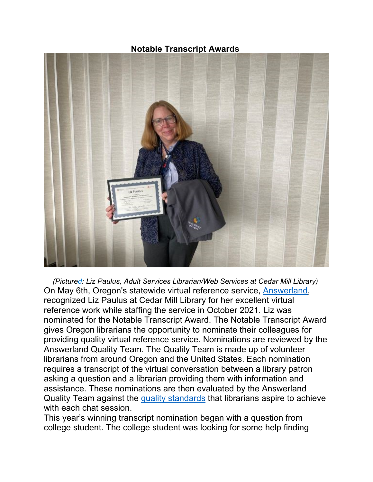**Notable Transcript Awards**



*(Pictured: Liz Paulus, Adult Services Librarian/Web Services at Cedar Mill Library)* On May 6th, Oregon's statewide virtual reference service, [Answerland,](http://www.answerland.org/) recognized Liz Paulus at Cedar Mill Library for her excellent virtual reference work while staffing the service in October 2021. Liz was nominated for the Notable Transcript Award. The Notable Transcript Award gives Oregon librarians the opportunity to nominate their colleagues for providing quality virtual reference service. Nominations are reviewed by the Answerland Quality Team. The Quality Team is made up of volunteer librarians from around Oregon and the United States. Each nomination requires a transcript of the virtual conversation between a library patron asking a question and a librarian providing them with information and assistance. These nominations are then evaluated by the Answerland Quality Team against the [quality standards](https://libguides.osl.state.or.us/answerland/bestpractices) that librarians aspire to achieve with each chat session.

This year's winning transcript nomination began with a question from college student. The college student was looking for some help finding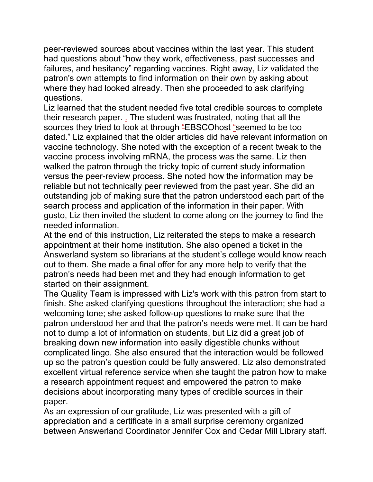peer-reviewed sources about vaccines within the last year. This student had questions about "how they work, effectiveness, past successes and failures, and hesitancy" regarding vaccines. Right away, Liz validated the patron's own attempts to find information on their own by asking about where they had looked already. Then she proceeded to ask clarifying questions.

Liz learned that the student needed five total credible sources to complete their research paper. . The student was frustrated, noting that all the sources they tried to look at through "EBSCOhost "seemed to be too dated." Liz explained that the older articles did have relevant information on vaccine technology. She noted with the exception of a recent tweak to the vaccine process involving mRNA, the process was the same. Liz then walked the patron through the tricky topic of current study information versus the peer-review process. She noted how the information may be reliable but not technically peer reviewed from the past year. She did an outstanding job of making sure that the patron understood each part of the search process and application of the information in their paper. With gusto, Liz then invited the student to come along on the journey to find the needed information.

At the end of this instruction, Liz reiterated the steps to make a research appointment at their home institution. She also opened a ticket in the Answerland system so librarians at the student's college would know reach out to them. She made a final offer for any more help to verify that the patron's needs had been met and they had enough information to get started on their assignment.

The Quality Team is impressed with Liz's work with this patron from start to finish. She asked clarifying questions throughout the interaction; she had a welcoming tone; she asked follow-up questions to make sure that the patron understood her and that the patron's needs were met. It can be hard not to dump a lot of information on students, but Liz did a great job of breaking down new information into easily digestible chunks without complicated lingo. She also ensured that the interaction would be followed up so the patron's question could be fully answered. Liz also demonstrated excellent virtual reference service when she taught the patron how to make a research appointment request and empowered the patron to make decisions about incorporating many types of credible sources in their paper.

As an expression of our gratitude, Liz was presented with a gift of appreciation and a certificate in a small surprise ceremony organized between Answerland Coordinator Jennifer Cox and Cedar Mill Library staff.